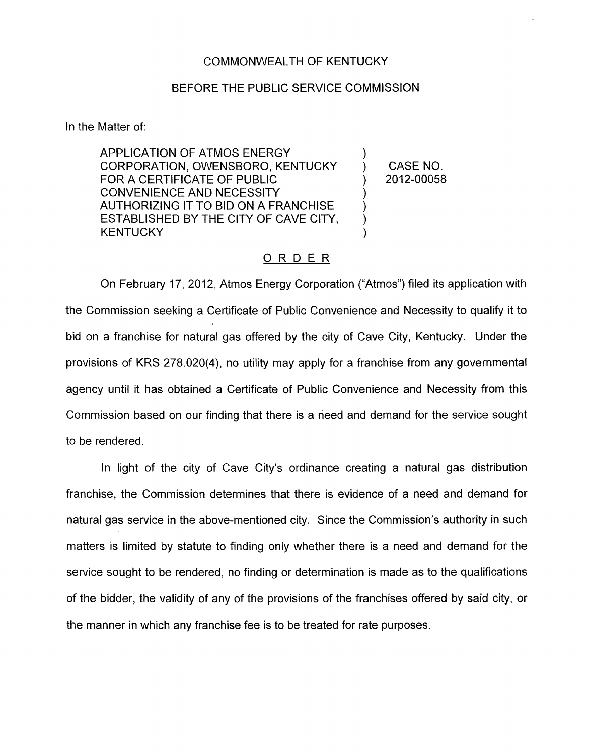## COMMONWEALTH OF KENTUCKY

## BEFORE THE PUBLIC SERVICE COMMISSION

In the Matter of:

APPLICATION OF ATMOS ENERGY FOR A CERTIFICATE OF PUBLIC  $(2012-00058)$ CONVENIENCE AND NECESSITY AUTHORIZING IT TO BID ON A FRANCHISE ESTABLISHED BY THE CITY OF CAVE CITY, **KENTUCKY** CORPORATION, OWENSBORO, KENTUCKY ) CASE NO.  $\sum_{i=1}^{n}$ 

## ORDER

On February 17, 2012, Atmos Energy Corporation ("Atmos") filed its application with the Commission seeking a Certificate of Public Convenience and Necessity to qualify it to bid on a franchise for natural gas offered by the city of Cave City, Kentucky. Under the provisions of KRS 278.020(4), no utility may apply for a franchise from any governmental agency until it has obtained a Certificate of Public Convenience and Necessity from this Commission based on our finding that there is a need and demand for the service sought to be rendered.

In light of the city of Cave City's ordinance creating a natural gas distribution franchise, the Commission determines that there is evidence of a need and demand for natural gas service in the above-mentioned city. Since the Commission's authority in such matters is limited by statute to finding only whether there is a need and demand for the service sought to be rendered, no finding or determination is made as to the qualifications of the bidder, the validity of any of the provisions of the franchises offered **by** said city, or the manner in which any franchise fee is to be treated for rate purposes.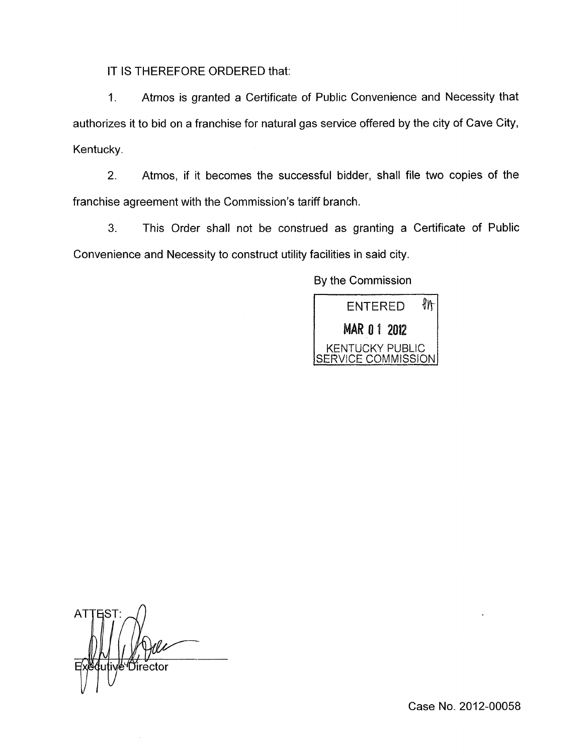IT IS THEREFORE ORDERED that:

1. Atmos is granted a Certificate of Public Convenience and Necessity that authorizes it to bid on a franchise for natural gas service offered by the city of Cave City, Kentucky.

2. Atmos, if it becomes the successful bidder, shall file two copies of the franchise agreement with the Commission's tariff branch.

*3.* This Order shall not be construed as granting a Certificate of Public Convenience and Necessity to construct utility facilities in said city.

By the Commission



AT vle"Director

Case No. 2012-00058